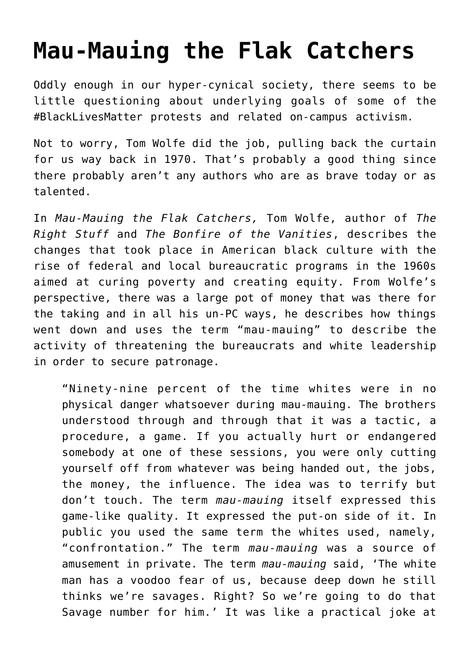## **[Mau-Mauing the Flak Catchers](https://intellectualtakeout.org/2016/08/mau-mauing-the-flak-catchers/)**

Oddly enough in our hyper-cynical society, there seems to be little questioning about underlying goals of some of the #BlackLivesMatter protests and related on-campus activism.

Not to worry, Tom Wolfe did the job, pulling back the curtain for us way back in 1970. That's probably a good thing since there probably aren't any authors who are as brave today or as talented.

In *Mau-Mauing the Flak Catchers,* Tom Wolfe, author of *The Right Stuff* and *The Bonfire of the Vanities*, describes the changes that took place in American black culture with the rise of federal and local bureaucratic programs in the 1960s aimed at curing poverty and creating equity. From Wolfe's perspective, there was a large pot of money that was there for the taking and in all his un-PC ways, he describes how things went down and uses the term "mau-mauing" to describe the activity of threatening the bureaucrats and white leadership in order to secure patronage.

"Ninety-nine percent of the time whites were in no physical danger whatsoever during mau-mauing. The brothers understood through and through that it was a tactic, a procedure, a game. If you actually hurt or endangered somebody at one of these sessions, you were only cutting yourself off from whatever was being handed out, the jobs, the money, the influence. The idea was to terrify but don't touch. The term *mau-mauing* itself expressed this game-like quality. It expressed the put-on side of it. In public you used the same term the whites used, namely, "confrontation." The term *mau-mauing* was a source of amusement in private. The term *mau-mauing* said, 'The white man has a voodoo fear of us, because deep down he still thinks we're savages. Right? So we're going to do that Savage number for him.' It was like a practical joke at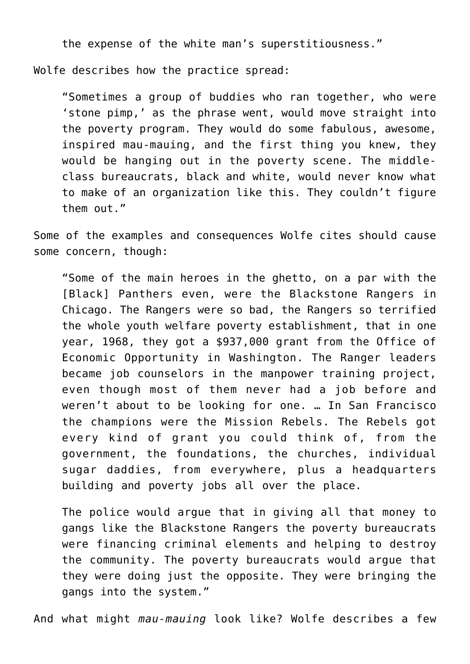the expense of the white man's superstitiousness."

Wolfe describes how the practice spread:

"Sometimes a group of buddies who ran together, who were 'stone pimp,' as the phrase went, would move straight into the poverty program. They would do some fabulous, awesome, inspired mau-mauing, and the first thing you knew, they would be hanging out in the poverty scene. The middleclass bureaucrats, black and white, would never know what to make of an organization like this. They couldn't figure them out."

Some of the examples and consequences Wolfe cites should cause some concern, though:

"Some of the main heroes in the ghetto, on a par with the [Black] Panthers even, were the Blackstone Rangers in Chicago. The Rangers were so bad, the Rangers so terrified the whole youth welfare poverty establishment, that in one year, 1968, they got a \$937,000 grant from the Office of Economic Opportunity in Washington. The Ranger leaders became job counselors in the manpower training project, even though most of them never had a job before and weren't about to be looking for one. … In San Francisco the champions were the Mission Rebels. The Rebels got every kind of grant you could think of, from the government, the foundations, the churches, individual sugar daddies, from everywhere, plus a headquarters building and poverty jobs all over the place.

The police would argue that in giving all that money to gangs like the Blackstone Rangers the poverty bureaucrats were financing criminal elements and helping to destroy the community. The poverty bureaucrats would argue that they were doing just the opposite. They were bringing the gangs into the system."

And what might *mau-mauing* look like? Wolfe describes a few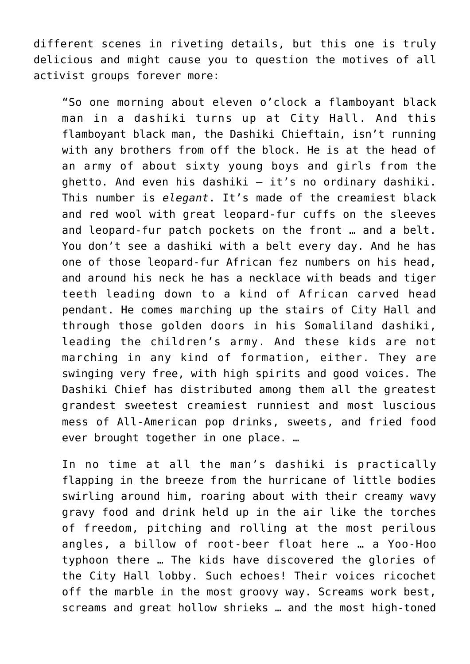different scenes in riveting details, but this one is truly delicious and might cause you to question the motives of all activist groups forever more:

"So one morning about eleven o'clock a flamboyant black man in a dashiki turns up at City Hall. And this flamboyant black man, the Dashiki Chieftain, isn't running with any brothers from off the block. He is at the head of an army of about sixty young boys and girls from the ghetto. And even his dashiki – it's no ordinary dashiki. This number is *elegant*. It's made of the creamiest black and red wool with great leopard-fur cuffs on the sleeves and leopard-fur patch pockets on the front … and a belt. You don't see a dashiki with a belt every day. And he has one of those leopard-fur African fez numbers on his head, and around his neck he has a necklace with beads and tiger teeth leading down to a kind of African carved head pendant. He comes marching up the stairs of City Hall and through those golden doors in his Somaliland dashiki, leading the children's army. And these kids are not marching in any kind of formation, either. They are swinging very free, with high spirits and good voices. The Dashiki Chief has distributed among them all the greatest grandest sweetest creamiest runniest and most luscious mess of All-American pop drinks, sweets, and fried food ever brought together in one place. …

In no time at all the man's dashiki is practically flapping in the breeze from the hurricane of little bodies swirling around him, roaring about with their creamy wavy gravy food and drink held up in the air like the torches of freedom, pitching and rolling at the most perilous angles, a billow of root-beer float here … a Yoo-Hoo typhoon there … The kids have discovered the glories of the City Hall lobby. Such echoes! Their voices ricochet off the marble in the most groovy way. Screams work best, screams and great hollow shrieks … and the most high-toned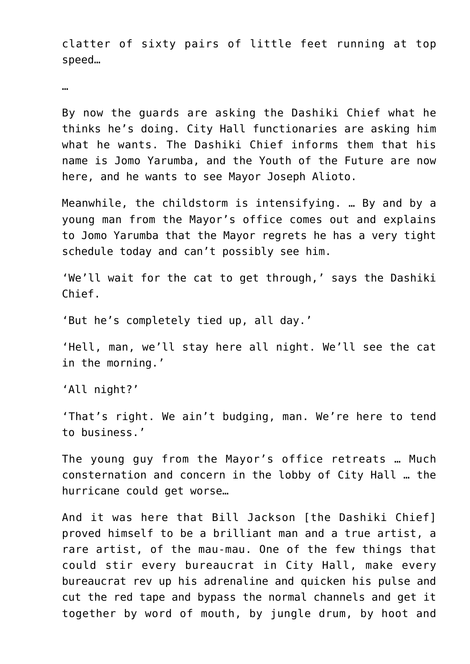clatter of sixty pairs of little feet running at top speed…

…

By now the guards are asking the Dashiki Chief what he thinks he's doing. City Hall functionaries are asking him what he wants. The Dashiki Chief informs them that his name is Jomo Yarumba, and the Youth of the Future are now here, and he wants to see Mayor Joseph Alioto.

Meanwhile, the childstorm is intensifying. … By and by a young man from the Mayor's office comes out and explains to Jomo Yarumba that the Mayor regrets he has a very tight schedule today and can't possibly see him.

'We'll wait for the cat to get through,' says the Dashiki Chief.

'But he's completely tied up, all day.'

'Hell, man, we'll stay here all night. We'll see the cat in the morning.'

'All night?'

'That's right. We ain't budging, man. We're here to tend to business.'

The young guy from the Mayor's office retreats … Much consternation and concern in the lobby of City Hall … the hurricane could get worse…

And it was here that Bill Jackson [the Dashiki Chief] proved himself to be a brilliant man and a true artist, a rare artist, of the mau-mau. One of the few things that could stir every bureaucrat in City Hall, make every bureaucrat rev up his adrenaline and quicken his pulse and cut the red tape and bypass the normal channels and get it together by word of mouth, by jungle drum, by hoot and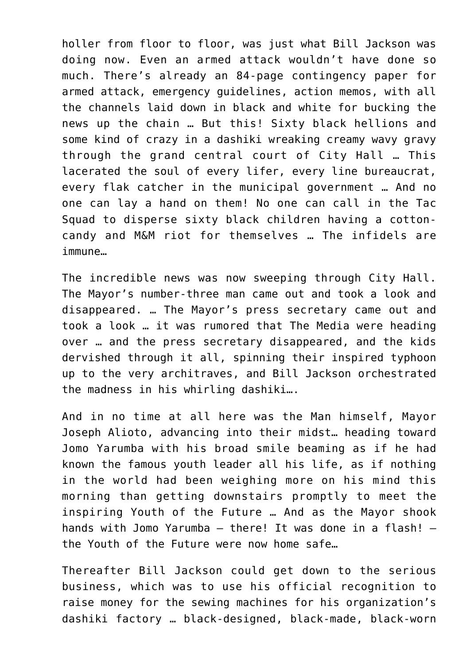holler from floor to floor, was just what Bill Jackson was doing now. Even an armed attack wouldn't have done so much. There's already an 84-page contingency paper for armed attack, emergency guidelines, action memos, with all the channels laid down in black and white for bucking the news up the chain … But this! Sixty black hellions and some kind of crazy in a dashiki wreaking creamy wavy gravy through the grand central court of City Hall … This lacerated the soul of every lifer, every line bureaucrat, every flak catcher in the municipal government … And no one can lay a hand on them! No one can call in the Tac Squad to disperse sixty black children having a cottoncandy and M&M riot for themselves … The infidels are immune…

The incredible news was now sweeping through City Hall. The Mayor's number-three man came out and took a look and disappeared. … The Mayor's press secretary came out and took a look … it was rumored that The Media were heading over … and the press secretary disappeared, and the kids dervished through it all, spinning their inspired typhoon up to the very architraves, and Bill Jackson orchestrated the madness in his whirling dashiki….

And in no time at all here was the Man himself, Mayor Joseph Alioto, advancing into their midst… heading toward Jomo Yarumba with his broad smile beaming as if he had known the famous youth leader all his life, as if nothing in the world had been weighing more on his mind this morning than getting downstairs promptly to meet the inspiring Youth of the Future … And as the Mayor shook hands with Jomo Yarumba – there! It was done in a flash! – the Youth of the Future were now home safe…

Thereafter Bill Jackson could get down to the serious business, which was to use his official recognition to raise money for the sewing machines for his organization's dashiki factory … black-designed, black-made, black-worn